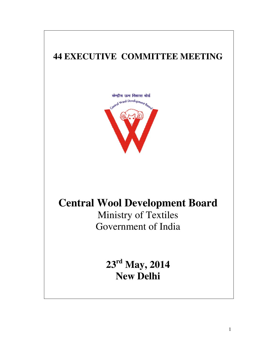# **44 EXECUTIVE COMMITTEE MEETING 44**



# **Central Wool Development Board Central Wool**

Ministry of Textiles Government of India

> **23 rd May, 2014 New Delhi**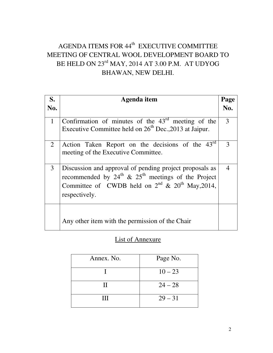# AGENDA ITEMS FOR 44<sup>th</sup> EXECUTIVE COMMITTEE MEETING OF CENTRAL WOOL DEVELOPMENT BOARD TO BE HELD ON 23<sup>rd</sup> MAY, 2014 AT 3.00 P.M. AT UDYOG BHAWAN, NEW DELHI.

| S.<br>No.      | Agenda item                                                                                                                                                                                           | Page<br>No. |
|----------------|-------------------------------------------------------------------------------------------------------------------------------------------------------------------------------------------------------|-------------|
|                |                                                                                                                                                                                                       |             |
| $\mathbf{1}$   | Confirmation of minutes of the $43rd$ meeting of the<br>Executive Committee held on 26 <sup>th</sup> Dec., 2013 at Jaipur.                                                                            | 3           |
| $\overline{2}$ | Action Taken Report on the decisions of the 43 <sup>rd</sup><br>meeting of the Executive Committee.                                                                                                   | 3           |
| 3              | Discussion and approval of pending project proposals as<br>recommended by $24^{th}$ & $25^{th}$ meetings of the Project<br>Committee of CWDB held on $2^{nd}$ & $20^{th}$ May, 2014,<br>respectively. |             |
|                | Any other item with the permission of the Chair                                                                                                                                                       |             |

# List of Annexure

| Annex. No. | Page No.  |
|------------|-----------|
|            | $10 - 23$ |
| Н          | $24 - 28$ |
| Ш          | $29 - 31$ |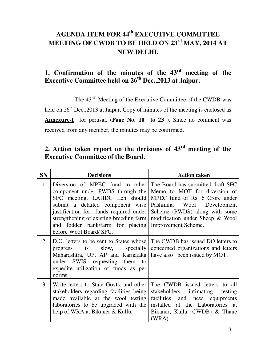# **AGENDA ITEM FOR 44th EXECUTIVE COMMITTEE MEETING OF CWDB TO BE HELD ON 23rd MAY, 2014 AT NEW DELHI.**

# **1. Confirmation of the minutes of the 43rd meeting of the Executive Committee held on 26th Dec.,2013 at Jaipur.**

The  $43<sup>rd</sup>$  Meeting of the Executive Committee of the CWDB was held on  $26<sup>th</sup>$  Dec., 2013 at Jaipur. Copy of minutes of the meeting is enclosed as **Annexure-I** for perusal. **(Page No. 10 to 23 ).** Since no comment was received from any member, the minutes may be confirmed.

# **2. Action taken report on the decisions of 43rd meeting of the Executive Committee of the Board.**

| <b>SN</b>      | <b>Decisions</b>                                                                                                                                                                                                                                                                                                                                             | <b>Action taken</b>                                                                                                                                                               |
|----------------|--------------------------------------------------------------------------------------------------------------------------------------------------------------------------------------------------------------------------------------------------------------------------------------------------------------------------------------------------------------|-----------------------------------------------------------------------------------------------------------------------------------------------------------------------------------|
| $\mathbf{1}$   | Diversion of MPEC fund to other The Board has submitted draft SFC<br>component under PWDS through the<br>SFC meeting. LAHDC Leh should<br>submit a detailed component wise<br>justification for funds required under Scheme (PWDS) along with some<br>strengthening of existing breeding farm<br>and fodder bank\farm for placing<br>before Wool Board/ SFC. | Memo to MOT for diversion of<br>MPEC fund of Rs. 6 Crore under<br>Pashmina Wool Development<br>modification under Sheep & Wool<br>Improvement Scheme.                             |
| $\overline{2}$ | D.O. letters to be sent to States whose<br>progress<br>Maharashtra, UP, AP and Karnataka have also been issued by MOT.<br>under SWIS requesting them to<br>expedite utilization of funds as per<br>norms.                                                                                                                                                    | The CWDB has issued DO letters to<br>is slow, specially concerned organizations and letters                                                                                       |
| 3              | Write letters to State Govts. and other<br>stakeholders regarding facilities being<br>made available at the wool testing<br>laboratories to be upgraded with the<br>help of WRA at Bikaner & Kullu.                                                                                                                                                          | The CWDB issued letters to all<br>stakeholders intimating testing<br>facilities and new equipments<br>installed at the Laboratories at<br>Bikaner, Kullu (CWDB) & Thane<br>(WRA). |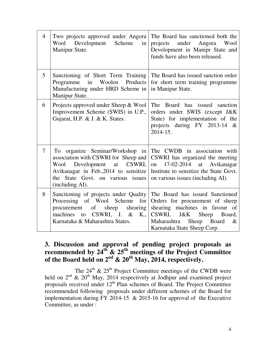| $\overline{4}$ | Two projects approved under Angora<br>Wool Development Scheme<br>in<br>Manipur State.                                                                                                                  | The Board has sanctioned both the<br>projects under Angora<br>Wool<br>Development in Manipr State and<br>funds have also been released.                                                                          |
|----------------|--------------------------------------------------------------------------------------------------------------------------------------------------------------------------------------------------------|------------------------------------------------------------------------------------------------------------------------------------------------------------------------------------------------------------------|
| 5              | Sanctioning of Short Term Training<br>Products<br>Programme in<br>Woolen<br>Manufacturing under HRD Scheme in<br>Manipur State.                                                                        | The Board has issued sanction order<br>for short term training programme<br>in Manipur State.                                                                                                                    |
| 6              | Projects approved under Sheep & Wool<br>Improvement Scheme (SWIS) in U.P.,<br>Gujarat, H.P. & J. & K. States.                                                                                          | The Board has issued sanction<br>orders under SWIS (except J&K<br>State) for implementation of the<br>projects during FY 2013-14 $\&$<br>2014-15.                                                                |
| $\overline{7}$ | To organize Seminar/Workshop in<br>association with CSWRI for Sheep and<br>Wool Development at CSWRI,<br>Avikanagar in Feb., 2014 to sensitize<br>the State Govt. on various issues<br>(including AI). | The CWDB in association with<br>CSWRI has organized the meeting<br>17-02-2014 at Avikanagar<br>on<br>Institute to sensitize the State Govt.<br>on various issues (including AI).                                 |
| 8              | Sanctioning of projects under Quality<br>Processing of Wool Scheme<br>for<br>sheep<br>procurement<br>of<br>shearing<br>CSWRI, J. $&$<br>machines<br>K.,<br>to<br>Karnataka & Maharashtra States.       | The Board has issued Sanctioned<br>Orders for procurement of sheep<br>shearing machines in favour of<br>CSWRI,<br>J&K<br>Sheep<br>Board,<br>Sheep<br>Maharashtra<br>Board<br>$\&$<br>Karnataka State Sheep Corp. |

## **3. Discussion and approval of pending project proposals as recommended by 24th & 25th meetings of the Project Committee of the Board held on 2nd & 20th May, 2014, respectively.**

The  $24<sup>th</sup>$  &  $25<sup>th</sup>$  Project Committee meetings of the CWDB were held on  $2^{nd}$  &  $20^{th}$  May, 2014 respectively at Jodhpur and examined project proposals received under  $12<sup>th</sup>$  Plan schemes of Board. The Project Committee recommended following proposals under different schemes of the Board for implementation during FY 2014-15 & 2015-16 for approval of the Executive Committee, as under :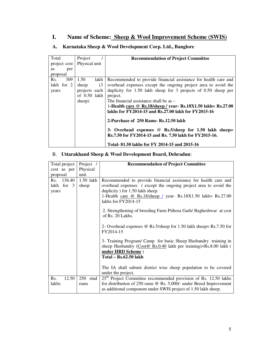#### **I. Name of Scheme: Sheep & Wool Improvement Scheme (SWIS)**

| Total            | Project       |      | <b>Recommendation of Project Committee</b>                                                                       |
|------------------|---------------|------|------------------------------------------------------------------------------------------------------------------|
| project cost     | Physical unit |      |                                                                                                                  |
| per<br><b>as</b> |               |      |                                                                                                                  |
| proposal         |               |      |                                                                                                                  |
| 309<br>Rs.       | 1.50          | lakh | Recommended to provide financial assistance for health care and                                                  |
| lakh for 2       | sheep         | (3)  | overhead expenses except the ongoing project area to avoid the                                                   |
| years            | projects each |      | duplicity for $1.50$ lakh sheep for 3 projects of $0.50$ sheep per                                               |
|                  | of 0.50 lakh  |      | project.                                                                                                         |
|                  | sheep)        |      | The financial assistance shall be as $-$                                                                         |
|                  |               |      | 1-Health care @ Rs.18/sheep / year- Rs.18X1.50 lakh= Rs.27.00                                                    |
|                  |               |      | lakhs for FY2014-15 and Rs.27.00 lakh for FY2015-16                                                              |
|                  |               |      | 2-Purchase of 250 Rams- Rs.12.50 lakh                                                                            |
|                  |               |      | 3- Overhead expenses @ Rs.5/sheep for 1.50 lakh sheep=<br>Rs.7.50 for FY2014-15 and Rs. 7.50 lakh for FY2015-16. |
|                  |               |      | Total-81.50 lakhs for FY 2014-15 and 2015-16                                                                     |

#### **A. Karnataka Sheep & Wool Development Corp. Ltd., Banglore**

#### B. **Uttarakhand Sheep & Wool Development Board, Dehradun**:

| Total project | Project /   | <b>Recommendation of Project Committee</b>                                                                                                                                            |
|---------------|-------------|---------------------------------------------------------------------------------------------------------------------------------------------------------------------------------------|
| cost as per   | Physical    |                                                                                                                                                                                       |
| proposal      | unit        |                                                                                                                                                                                       |
| Rs. 136.40    | $1.50$ lakh | Recommended to provide financial assistance for health care and                                                                                                                       |
| lakh for 3    | sheep       | overhead expenses (except the ongoing project area to avoid the                                                                                                                       |
| years         |             | duplicity) for 1.50 lakh sheep                                                                                                                                                        |
|               |             | 1-Health care @ Rs.18/sheep / year- Rs.18X1.50 lakh= Rs.27.00<br>lakhs for $FY2014-15$                                                                                                |
|               |             | 2. Strengthening of breeding Farm Pithora Garh/Bagheshwar at cost<br>of Rs. 20 Lakhs.                                                                                                 |
|               |             | 2- Overhead expenses $\omega$ Rs.5/sheep for 1.50 lakh sheep= Rs.7.50 for<br>FY2014-15                                                                                                |
|               |             | 3- Training Program/ Camp for basic Sheep Husbandry training in<br>sheep Husbandry ( $\overline{\text{Cost@ } \text{Rs}.0.40}$ lakh per training)=Rs.8.00 lakh (<br>under HRD Scheme) |
|               |             | Total – Rs.62.50 lakh                                                                                                                                                                 |
|               |             |                                                                                                                                                                                       |
|               |             | The IA shall submit district wise sheep population to be covered                                                                                                                      |
|               |             | under the project.                                                                                                                                                                    |
| 12.50<br>Rs.  | $250$ stud  | 25 <sup>th</sup> Project Committee recommended provision of Rs. 12.50 lakhs                                                                                                           |
| lakhs         | rams        | for distribution of 250 rams @ Rs. 5,000/- under Breed Improvement                                                                                                                    |
|               |             | as additional component under SWIS project of 1.50 lakh sheep.                                                                                                                        |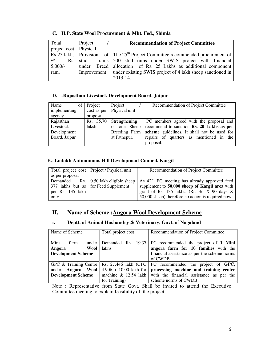| Total                 | Project     | <b>Recommendation of Project Committee</b>                                                                      |
|-----------------------|-------------|-----------------------------------------------------------------------------------------------------------------|
| project cost Physical |             |                                                                                                                 |
|                       |             | $\sqrt{Rs\ 25\ 1akhs\sqrt{1.5}}$ Provision of The 25 <sup>th</sup> Project Committee recommended procurement of |
| $\omega$              | Rs. stud    | rams 500 stud rams under SWIS project with financial                                                            |
| $5,000/-$             |             | under Breed   allocation of Rs. 25 Lakhs as additional component                                                |
| ram.                  | Improvement | under existing SWIS project of 4 lakh sheep sanctioned in                                                       |
|                       |             | 2013-14.                                                                                                        |

#### **C. H.P. State Wool Procurement & Mkt. Fed., Shimla**

#### **D. -Rajasthan Livestock Development Board, Jaipur**

| Name<br>$\sigma$ | Project     | Project       | Recommendation of Project Committee         |
|------------------|-------------|---------------|---------------------------------------------|
| implementing     | cost as per | Physical unit |                                             |
| agency           | proposal    |               |                                             |
| Rajasthan        | Rs. 35.70   | Strengthening | PC members agreed with the proposal and     |
| Livestock        | laksh       | of one Sheep  | recommend to sanction Rs. 20 Lakhs as per   |
| Development      |             | Breeding Farm | scheme guidelines. It shall not be used for |
| Board, Jaipur    |             | at Fathepur.  | repairs of quarters as mentioned in the     |
|                  |             |               | proposal.                                   |

#### **E.- Ladakh Autonomous Hill Development Council, Kargil**

|                  | Total project cost   Project / Physical unit | Recommendation of Project Committee                      |
|------------------|----------------------------------------------|----------------------------------------------------------|
| as per proposal  |                                              |                                                          |
|                  | Demanded Rs.   0.50 lakh eligible sheep      | As 42 <sup>nd</sup> EC meeting has already approved feed |
|                  | 377 lakhs but as for Feed Supplement         | supplement to 50,000 sheep of Kargil area with           |
| per Rs. 135 lakh |                                              | grant of Rs. $135$ lakhs. (Rs. $3/- X$ 90 days X         |
| only             |                                              | 50,000 sheep) therefore no action is required now.       |

#### **II.** Name of Scheme : Angora Wool Development Scheme

#### **i. Deptt. of Animal Husbandry & Veterinary, Govt. of Nagaland**

| Name of Scheme                               | Total project cost       | Recommendation of Project Committee                     |
|----------------------------------------------|--------------------------|---------------------------------------------------------|
|                                              |                          |                                                         |
| Mini<br>under  <br>farm                      |                          | Demanded Rs. 19.37 PC recommended the project of 1 Mini |
| Angora<br>Wool                               | <b>lakhs</b>             | angora farm for 10 families with the                    |
| <b>Development Scheme</b>                    |                          | financial assistance as per the scheme norms            |
|                                              |                          | of CWDB.                                                |
| GPC & Training Centre   Rs. 27.446 lakh (GPC |                          | PC recommended the project of GPC,                      |
| under Angora Wool                            | $4.906 + 10.00$ lakh for | processing machine and training center                  |
| <b>Development Scheme</b>                    | machine $\&$ 12.54 lakh  | with the financial assistance as per the                |
|                                              | for Training)            | scheme norms of CWDB.                                   |

Note : Representative from State Govt. Shall be invited to attend the Executive Committee meeting to explain feasibility of the project.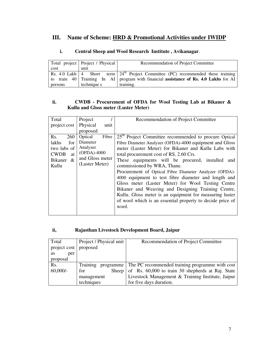### **III. Name of Scheme: HRD & Promotional Activities under IWIDP**

| Total project   Project / Physical |             | Recommendation of Project Committee                                                              |
|------------------------------------|-------------|--------------------------------------------------------------------------------------------------|
| cost                               | unit        |                                                                                                  |
|                                    |             | Rs. 4.0 Lakh   4 Short term   24 <sup>th</sup> Project Committee (PC) recommended these training |
|                                    |             | to train 40   Training In AI   program with financial <b>assistance of Rs. 4.0 Lakhs</b> for AI  |
| persons                            | technique s | training.                                                                                        |

#### **i. Central Sheep and Wool Research Institute , Avikanagar**.

#### **ii. CWDB - Procurement of OFDA for Wool Testing Lab at Bikaner & Kullu and Gloss meter (Luster Meter)**

| Total<br>project cost                                                                      | Project<br>Physical<br>unit<br>proposed                                                      | Recommendation of Project Committee                                                                                                                                                                                                                                                                                                                                                                                                                                                                                                                                                                                                                                                  |
|--------------------------------------------------------------------------------------------|----------------------------------------------------------------------------------------------|--------------------------------------------------------------------------------------------------------------------------------------------------------------------------------------------------------------------------------------------------------------------------------------------------------------------------------------------------------------------------------------------------------------------------------------------------------------------------------------------------------------------------------------------------------------------------------------------------------------------------------------------------------------------------------------|
| Rs.<br>260<br>lakhs<br>for<br>two labs of<br><b>CWDB</b><br>at<br>Bikaner<br>$\&$<br>Kullu | Optical<br>Fibre<br>Diameter<br>Analyzer<br>(OFDA)-4000<br>and Gloss meter<br>(Luster Meter) | 25 <sup>th</sup> Project Committee recommended to procure Optical<br>Fibre Diameter Analyzer (OFDA)-4000 equipment and Gloss<br>meter (Luster Meter) for Bikaner and Kullu Labs with<br>total procurement cost of RS. 2.60 Crs.<br>These equipments will be procured, installed<br>and<br>commissioned by WRA, Thane.<br>Procurement of Optical Fibre Diameter Analyzer (OFDA)-<br>4000 equipment to test fibre diameter and length and<br>Gloss meter (Luster Meter) for Wool Testing Centre<br>Bikaner and Weaving and Designing Training Centre,<br>Kullu. Gloss meter is an equipment for measuring luster<br>of wool which is an essential property to decide price of<br>wool. |

#### **ii, Rajasthan Livestock Development Board, Jaipur**

| Total                   | Project / Physical unit | Recommendation of Project Committee                         |
|-------------------------|-------------------------|-------------------------------------------------------------|
| project cost   proposed |                         |                                                             |
| per<br><b>as</b>        |                         |                                                             |
| proposal                |                         |                                                             |
| Rs.                     | Training                | programme   The PC recommended training programme with cost |
| $60,000/$ -             | for<br>Sheep $\vert$    | of Rs. 60,000 to train 30 shepherds at Raj. State           |
|                         | management              | Livestock Management & Training Institute, Jaipur           |
|                         | techniques              | for five days duration.                                     |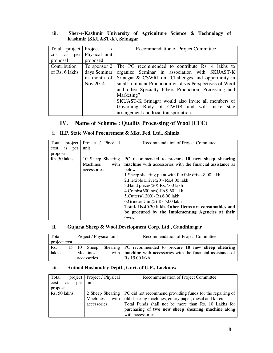#### **iii. Sher-e-Kashmir University of Agriculture Science & Technology of Kashmir (SKUAST-K), Srinagar**

| Total project Project |               | Recommendation of Project Committee                                 |
|-----------------------|---------------|---------------------------------------------------------------------|
| cost as per           | Physical unit |                                                                     |
| proposal              | proposed      |                                                                     |
| Contribution          |               | To sponsor $2 \mid$ The PC recommended to contribute Rs. 4 lakhs to |
| of Rs. 6 lakhs        | days Seminar  | organize Seminar in association with SKUAST-K                       |
|                       | in month of   | Srinagar & CSWRI on "Challenges and opportunity in                  |
|                       | Nov.2014.     | small ruminant Production vis-à-vis Perspectives of Wool            |
|                       |               | and other Specialty Fibers Production, Processing and               |
|                       |               | Marketing".                                                         |
|                       |               | SKUAST-K Srinagar would also invite all members of                  |
|                       |               | Governing Body of CWDB and will make stay                           |
|                       |               | arrangement and local transportation.                               |

### **IV. Name of Scheme : Quality Processing of Wool (CFC)**

### **i**. **H.P. State Wool Procurement & Mkt. Fed. Ltd., Shimla**

| project<br>Total         | Project / Physical | Recommendation of Project Committee                       |
|--------------------------|--------------------|-----------------------------------------------------------|
| per<br><b>as</b><br>cost | unit               |                                                           |
| proposal                 |                    |                                                           |
| Rs. 50 lakhs             | 10 Sheep Shearing  | PC recommended to procure 10 new sheep shearing           |
|                          | with<br>Machines   | machine with accessories with the financial assistance as |
|                          | accessories.       | below-                                                    |
|                          |                    | 1. Sheep shearing plant with flexible drive-8.00 lakh     |
|                          |                    | 2. Flexible Drive(20) - Rs. 4.00 lakh                     |
|                          |                    | 3. Hand pieces (20)-Rs. 7.60 lakh                         |
|                          |                    | $4$ .Combs $(600 \text{ nos})$ -Rs.9.60 lakh              |
|                          |                    | 5. Cutters (1200) - Rs. 6.00 lakh                         |
|                          |                    | 6. Grinder Unit $(5)$ -Rs. $5.00$ lakh                    |
|                          |                    | Total- Rs.40.20 lakh. Other Items are consumables and     |
|                          |                    | be procured by the Implementing Agencies at their         |
|                          |                    | own.                                                      |

#### **ii. Gujarat Sheep & Wool Development Corp. Ltd., Gandhinagar**

| Total        | Project / Physical unit | Recommendation of Project Committee                                     |  |  |
|--------------|-------------------------|-------------------------------------------------------------------------|--|--|
| project cost |                         |                                                                         |  |  |
| Rs.          |                         | 15 10 Sheep Shearing PC recommended to procure 10 new sheep shearing    |  |  |
| lakhs        | <b>Machines</b>         | with   <b>machine</b> with accessories with the financial assistance of |  |  |
|              | accessories.            | Rs.15.00 lakh                                                           |  |  |

#### **iii. Animal Husbandry Deptt., Govt. of U.P., Lucknow**

| Total        |    |     | project   Project / Physical | Recommendation of Project Committee                                          |  |  |
|--------------|----|-----|------------------------------|------------------------------------------------------------------------------|--|--|
| cost         | as | per | unit                         |                                                                              |  |  |
| proposal     |    |     |                              |                                                                              |  |  |
| Rs. 50 lakhs |    |     |                              | 2 Sheep Shearing   PC did not recommend providing funds for the repairing of |  |  |
|              |    |     | <b>Machines</b>              | with   old shearing machines, emery paper, diesel and kit etc                |  |  |
|              |    |     | accessories.                 | Total Funds shall not be more than Rs. 10 Lakhs for                          |  |  |
|              |    |     |                              | purchasing of two new sheep shearing machine along                           |  |  |
|              |    |     |                              | with accessories.                                                            |  |  |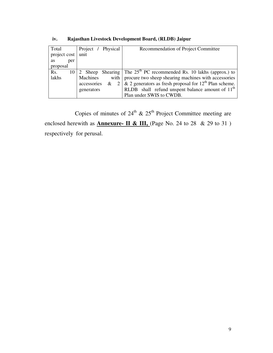| Total            | Project / Physical                    | Recommendation of Project Committee                                         |
|------------------|---------------------------------------|-----------------------------------------------------------------------------|
| project cost     | unit                                  |                                                                             |
| <b>as</b><br>per |                                       |                                                                             |
| proposal         |                                       |                                                                             |
| Rs.              |                                       | 10   2 Sheep Shearing   The $25th$ PC recommended Rs. 10 lakhs (approx.) to |
| lakhs            | Machines                              | with   procure two sheep shearing machines with accessories                 |
|                  | accessories<br>$\sqrt{2}$<br>$\alpha$ | & 2 generators as fresh proposal for $12th$ Plan scheme.                    |
|                  | generators                            | RLDB shall refund unspent balance amount of 11 <sup>th</sup>                |
|                  |                                       | Plan under SWIS to CWDB.                                                    |

**iv. Rajasthan Livestock Development Board, (RLDB) Jaipur** 

Copies of minutes of  $24<sup>th</sup>$  &  $25<sup>th</sup>$  Project Committee meeting are enclosed herewith as **Annexure- II & III,** (Page No. 24 to 28 & 29 to 31) respectively for perusal.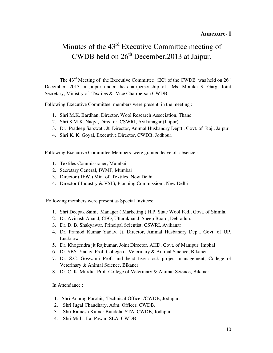#### **Annexure- I**

# Minutes of the 43<sup>rd</sup> Executive Committee meeting of CWDB held on  $26<sup>th</sup>$  December, 2013 at Jaipur.

The  $43<sup>rd</sup>$  Meeting of the Executive Committee (EC) of the CWDB was held on  $26<sup>th</sup>$ December, 2013 in Jaipur under the chairpersonship of Ms. Monika S. Garg, Joint Secretary, Ministry of Textiles & Vice Chairperson CWDB.

Following Executive Committee members were present in the meeting :

- 1. Shri M.K. Bardhan, Director, Wool Research Association, Thane
- 2. Shri S.M.K. Naqvi, Director, CSWRI, Avikanagar (Jaipur)
- 3. Dr. Pradeep Sarswat , Jt. Director, Animal Husbandry Deptt., Govt. of Raj., Jaipur
- 4. Shri K. K. Goyal, Executive Director, CWDB, Jodhpur.

Following Executive Committee Members were granted leave of absence :

- 1. Textiles Commissioner, Mumbai
- 2. Secretary General, IWMF, Mumbai
- 3. Director ( IFW.) Min. of Textiles New Delhi
- 4. Director ( Industry & VSI ), Planning Commission , New Delhi

Following members were present as Special Invitees:

- 1. Shri Deepak Saini, Manager ( Marketing ) H.P. State Wool Fed., Govt. of Shimla,
- 2. Dr. Avinash Anand, CEO, Uttarakhand Sheep Board, Dehradun.
- 3. Dr. D. B. Shakyawar, Principal Scientist, CSWRI, Avikanar
- 4. Dr. Pramod Kumar Yadav, Jt. Director, Animal Husbandry Dep't. Govt. of UP, Lucknow
- 5. Dr. Khogendra jit Rajkumar, Joint Director, AHD, Govt. of Manipur, Imphal
- 6. Dr. SBS Yadav, Prof. College of Veterinary & Animal Science, Bikaner.
- 7. Dr. S.C. Goswami Prof. and head live stock project management, College of Veterinary & Animal Science, Bikaner
- 8. Dr. C. K. Murdia Prof. College of Veterinary & Animal Science, Bikaner

In Attendance :

- 1. Shri Anurag Purohit, Technical Officer /CWDB, Jodhpur.
- 2. Shri Jugal Chaudhary, Adm. Officer, CWDB.
- 3. Shri Ramesh Kumer Bundela, STA, CWDB, Jodhpur
- 4. Shri Mitha Lal Pawar, SLA, CWDB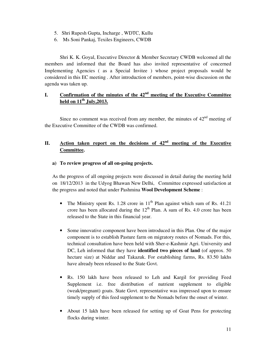- 5. Shri Rupesh Gupta, Incharge , WDTC, Kullu
- 6. Ms Soni Pankaj, Texiles Engineers, CWDB

Shri K. K. Goyal, Executive Director & Member Secretary CWDB welcomed all the members and informed that the Board has also invited representative of concerned Implementing Agencies ( as a Special Invitee ) whose project proposals would be considered in this EC meeting . After introduction of members, point-wise discussion on the agenda was taken up.

#### **I. Confirmation of the minutes of the 42nd meeting of the Executive Committee held on 11th July,2013.**

Since no comment was received from any member, the minutes of  $42<sup>nd</sup>$  meeting of the Executive Committee of the CWDB was confirmed.

#### **II. Action taken report on the decisions of 42nd meeting of the Executive Committee.**

#### **a) To review progress of all on-going projects.**

As the progress of all ongoing projects were discussed in detail during the meeting held on 18/12/2013 in the Udyog Bhawan New Delhi, Committee expressed satisfaction at the progress and noted that under Pashmina **Wool Development Scheme** :

- The Ministry spent Rs. 1.28 crore in  $11<sup>th</sup>$  Plan against which sum of Rs. 41.21 crore has been allocated during the  $12<sup>th</sup>$  Plan. A sum of Rs. 4.0 crore has been released to the State in this financial year.
- Some innovative component have been introduced in this Plan. One of the major component is to establish Pasture farm on migratory routes of Nomads. For this, technical consultation have been held with Sher-e-Kashmir Agri. University and DC, Leh informed that they have **identified two pieces of land** (of approx. 50 hectare size) at Niddar and Takazuk. For establishing farms, Rs. 83.50 lakhs have already been released to the State Govt.
- Rs. 150 lakh have been released to Leh and Kargil for providing Feed Supplement i.e. free distribution of nutrient supplement to eligible (weak/pregnant) goats. State Govt. representative was impressed upon to ensure timely supply of this feed supplement to the Nomads before the onset of winter.
- About 15 lakh have been released for setting up of Goat Pens for protecting flocks during winter.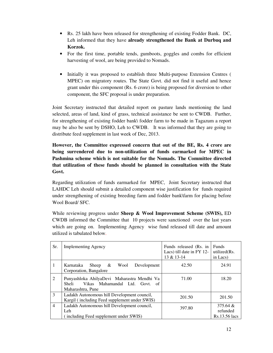- Rs. 25 lakh have been released for strengthening of existing Fodder Bank. DC, Leh informed that they have **already strengthened the Bank at Durbuq and Korzok.**
- For the first time, portable tends, gumboots, goggles and combs for efficient harvesting of wool, are being provided to Nomads.
- Initially it was proposed to establish three Multi-purpose Extension Centres ( MPEC) on migratory routes. The State Govt. did not find it useful and hence grant under this component (Rs. 6 crore) is being proposed for diversion to other component, the SFC proposal is under preparation.

Joint Secretary instructed that detailed report on pasture lands mentioning the land selected, areas of land, kind of grass, technical assistance be sent to CWDB. Further, for strengthening of existing fodder bank\ fodder farm to be made in Tagazum a report may be also be sent by DSHO, Leh to CWDB. It was informed that they are going to distribute feed supplement in last week of Dec, 2013.

#### **However, the Committee expressed concern that out of the BE, Rs. 4 crore are being surrendered due to non-utilization of funds earmarked for MPEC in Pashmina scheme which is not suitable for the Nomads. The Committee directed that utilization of these funds should be planned in consultation with the State Govt.**

Regarding utilization of funds earmarked for MPEC, Joint Secretary instructed that LAHDC Leh should submit a detailed component wise justification for funds required under strengthening of existing breeding farm and fodder bank\farm for placing before Wool Board/ SFC.

While reviewing progress under **Sheep & Wool Improvement Scheme (SWIS),** ED CWDB informed the Committee that 10 projects were sanctioned over the last years which are going on. Implementing Agency wise fund released till date and amount utilized is tabulated below.

| Sr.            | <b>Implementing Agency</b>                                                                                       | Funds released (Rs. in<br>Lacs) till date in FY 12-<br>13 & 13-14 | <b>Funds</b><br>utilized(Rs.<br>in Lacs) |
|----------------|------------------------------------------------------------------------------------------------------------------|-------------------------------------------------------------------|------------------------------------------|
| 1              | Wool<br>Development<br>Karnataka<br>Sheep $\&$<br>Corporation, Bangalore                                         | 42.50                                                             | 24.91                                    |
| 2              | Punyashloka AhilyaDevi Maharastra Mendhi Va<br>Vikas Mahamandal Ltd. Govt.<br>Sheli<br>- of<br>Maharashtra, Pune | 71.00                                                             | 18.20                                    |
| 3              | Ladakh Autonomous hill Development council,<br>Kargil (including Feed supplement under SWIS)                     | 201.50                                                            | 201.50                                   |
| $\overline{4}$ | Ladakh Autonomous hill Development council,<br>Leh <sup>1</sup><br>(including Feed supplement under SWIS)        | 397.80                                                            | $375.64 \&$<br>refunded<br>Rs.13.56 lacs |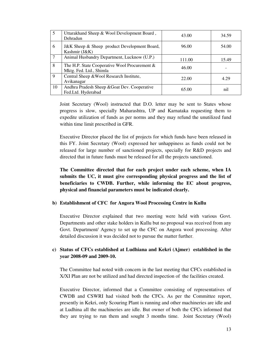|    | Uttarakhand Sheep & Wool Development Board,<br>Dehradun                     | 43.00  | 34.59 |
|----|-----------------------------------------------------------------------------|--------|-------|
| 6  | J&K Sheep & Sheep product Development Board,<br>Kashmir (J&K)               | 96.00  | 54.00 |
| 7  | Animal Husbandry Department, Lucknow (U.P.)                                 | 111.00 | 15.49 |
| 8  | The H.P. State Cooperative Wool Procurement $\&$<br>Mktg. Fed. Ltd., Shimla | 46.00  |       |
| 9  | Central Sheep & Wool Research Institute,<br>Avikanagar                      | 22.00  | 4.29  |
| 10 | Andhra Pradesh Sheep & Goat Dev. Cooperative<br>Fed.Ltd. Hyderabad          | 65.00  | nil   |

Joint Secretary (Wool) instructed that D.O. letter may be sent to States whose progress is slow, specially Maharashtra, UP and Karnataka requesting them to expedite utilization of funds as per norms and they may refund the unutilized fund within time limit prescribed in GFR.

Executive Director placed the list of projects for which funds have been released in this FY. Joint Secretary (Wool) expressed her unhappiness as funds could not be released for large number of sanctioned projects, specially for R&D projects and directed that in future funds must be released for all the projects sanctioned.

**The Committee directed that for each project under each scheme, when IA submits the UC, it must give corresponding physical progress and the list of beneficiaries to CWDB. Further, while informing the EC about progress, physical and financial parameters must be indicated clearly.** 

#### **b) Establishment of CFC for Angora Wool Processing Centre in Kullu**

Executive Director explained that two meeting were held with various Govt. Departments and other stake holders in Kullu but no proposal was received from any Govt. Department/ Agency to set up the CFC on Angora wool processing. After detailed discussion it was decided not to pursue the matter further.

#### **c) Status of CFCs established at Ludhiana and Kekri (Ajmer) established in the year 2008-09 and 2009-10.**

The Committee had noted with concern in the last meeting that CFCs established in X/XI Plan are not be utilized and had directed inspection of the facilities created.

Executive Director, informed that a Committee consisting of representatives of CWDB and CSWRI had visited both the CFCs. As per the Committee report, presently in Kekri, only Scouring Plant is running and other machineries are idle and at Ludhina all the machineries are idle. But owner of both the CFCs informed that they are trying to run them and sought 3 months time. Joint Secretary (Wool)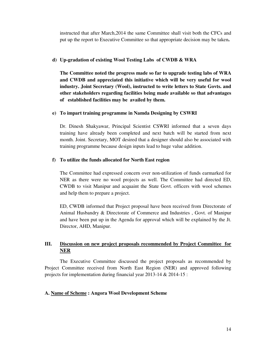instructed that after March,2014 the same Committee shall visit both the CFCs and put up the report to Executive Committee so that appropriate decision may be taken**.** 

#### **d) Up-gradation of existing Wool Testing Labs of CWDB & WRA**

**The Committee noted the progress made so far to upgrade testing labs of WRA and CWDB and appreciated this initiative which will be very useful for wool industry. Joint Secretary (Wool), instructed to write letters to State Govts. and other stakeholders regarding facilities being made available so that advantages of established facilities may be availed by them.** 

#### **e) To impart training programme in Namda Designing by CSWRI**

Dr. Dinesh Shakyawar, Principal Scientist CSWRI informed that a seven days training have already been completed and next batch will be started from next month. Joint. Secretary, MOT desired that a designer should also be associated with training programme because design inputs lead to huge value addition.

#### **f) To utilize the funds allocated for North East region**

The Committee had expressed concern over non-utilization of funds earmarked for NER as there were no wool projects as well. The Committee had directed ED, CWDB to visit Manipur and acquaint the State Govt. officers with wool schemes and help them to prepare a project.

ED, CWDB informed that Project proposal have been received from Directorate of Animal Husbandry & Directorate of Commerce and Industries , Govt. of Manipur and have been put up in the Agenda for approval which will be explained by the Jt. Director, AHD, Manipur.

#### **III. Discussion on new project proposals recommended by Project Committee for NER**

 The Executive Committee discussed the project proposals as recommended by Project Committee received from North East Region (NER) and approved following projects for implementation during financial year 2013-14 & 2014-15 :

#### **A. Name of Scheme : Angora Wool Development Scheme**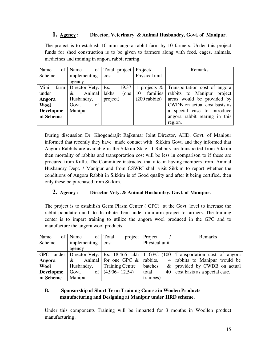#### **1. Agency : Director, Veterinary & Animal Husbandry, Govt. of Manipur.**

The project is to establish 10 mini angora rabbit farm by 10 farmers. Under this project funds for shed construction is to be given to farmers along with feed, cages, animals, medicines and training in angora rabbit rearing.

| Name                         | of   Name                          | of Total project | Project/                | <b>Remarks</b>                                   |
|------------------------------|------------------------------------|------------------|-------------------------|--------------------------------------------------|
| Scheme                       | implementing                       | cost             | Physical unit           |                                                  |
|                              | agency                             |                  |                         |                                                  |
| Mini                         | $\text{farm}$ Director Vety.   Rs. | 19.37            |                         | 1 projects $\&$   Transportation cost of angoral |
| Animal   lakhs<br>under<br>& |                                    | (one             | families  <br>-10       | rabbits to Manipur project                       |
| Husbandry,<br>Angora         |                                    | project)         | $(200 \text{ rabbits})$ | areas would be provided by                       |
| of<br><b>Wool</b><br>Govt.   |                                    |                  |                         | CWDB on actual cost basis as                     |
| <b>Developme</b>             | Manipur                            |                  |                         | special case to introduce<br>a                   |
| nt Scheme                    |                                    |                  |                         | angora rabbit rearing in this                    |
|                              |                                    |                  |                         | region.                                          |

During discussion Dr. Khogendrajit Rajkumar Joint Director, AHD, Govt. of Manipur informed that recently they have made contact with Sikkim Govt. and they informed that Angora Rabbits are available in the Sikkim State. If Rabbits are transported from Sikkim then mortality of rabbits and transportation cost will be less in comparison to if these are procured from Kullu. The Committee instructed that a team having members from Animal Husbandry Dept. / Manipur and from CSWRI shall visit Sikkim to report whether the conditions of Angora Rabbit in Sikkim is of Good quality and after it being certified, then only these be purchased from Sikkim.

#### **2. Agency : Director Vety. & Animal Husbandry, Govt. of Manipur.**

The project is to estabilish Germ Plasm Center ( GPC) at the Govt. level to increase the rabbit population and to distribute them unde minifarm project to farmers. The training center is to impart training to utilize the angora wool produced in the GPC and to manufacture the angora wool products.

| Name                   | of   Name  | of   Total<br>project   | Project       | Remarks                                                                                |
|------------------------|------------|-------------------------|---------------|----------------------------------------------------------------------------------------|
| Scheme<br>implementing |            | cost                    | Physical unit |                                                                                        |
|                        | agency     |                         |               |                                                                                        |
| <b>GPC</b>             |            |                         |               | under   Director Vety.   Rs. 18.465 lakh   1 GPC $(100)$ Transportation cost of angora |
| Angora                 | &          | Animal for one GPC $\&$ | rabbits,      | 4 rabbits to Manipur would be                                                          |
| Wool                   | Husbandry, | <b>Training Centre</b>  | batches       | $\&$   provided by CWDB on actual                                                      |
| <b>Developme</b>       | Govt.      | of $(4.906+12.54)$      | total         | 40   cost basis as a special case.                                                     |
| nt Scheme              | Manipur    |                         | trainees)     |                                                                                        |

#### **B. Sponsorship of Short Term Training Course in Woolen Products manufacturing and Designing at Manipur under HRD scheme.**

Under this components Training will be imparted for 3 months in Woollen product manufacturing .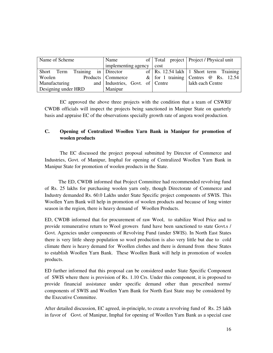| Name of Scheme                     | Name                            |      | of   Total project   Project / Physical unit |  |
|------------------------------------|---------------------------------|------|----------------------------------------------|--|
|                                    | implementing agency             | cost |                                              |  |
| Training in Director<br>Short Term |                                 |      | of   Rs. 12.54 lakh   1 Short term Training  |  |
| Woolen                             | Products   Commerce             |      | & for 1 training Centres $\omega$ Rs. 12.54  |  |
| Manufacturing                      | and Industries, Govt. of Centre |      | lakh each Centre                             |  |
| Designing under HRD                | Manipur                         |      |                                              |  |

 EC approved the above three projects with the condition that a team of CSWRI/ CWDB officials will inspect the projects being sanctioned in Manipur State on quarterly basis and appraise EC of the observations specially growth rate of angora wool production.

#### **C. Opening of Centralized Woollen Yarn Bank in Manipur for promotion of woolen products**

 The EC discussed the project proposal submitted by Director of Commerce and Industries, Govt. of Manipur, Imphal for opening of Centralized Woollen Yarn Bank in Manipur State for promotion of woolen products in the State.

 The ED, CWDB informed that Project Committee had recommended revolving fund of Rs. 25 lakhs for purchasing woolen yarn only, though Directorate of Commerce and Industry demanded Rs. 60.0 Lakhs under State Specific project components of SWIS. This Woollen Yarn Bank will help in promotion of woolen products and because of long winter season in the region, there is heavy demand of Woollen Products.

ED, CWDB informed that for procurement of raw Wool, to stabilize Wool Price and to provide remunerative return to Wool growers fund have been sanctioned to state Govt.s / Govt. Agencies under components of Revolving Fund (under SWIS). In North East States there is very little sheep population so wool production is also very little but due to cold climate there is heavy demand for Woollen clothes and there is demand from these States to establish Woollen Yarn Bank. These Woollen Bank will help in promotion of woolen products.

ED further informed that this proposal can be considered under State Specific Component of SWIS where there is provision of Rs. 1.10 Crs. Under this component, it is proposed to provide financial assistance under specific demand other than prescribed norms/ components of SWIS and Woollen Yarn Bank for North East State may be considered by the Executive Committee.

After detailed discussion, EC agreed, in-principle, to create a revolving fund of Rs. 25 lakh in favor of Govt. of Manipur, Imphal for opening of Woollen Yarn Bank as a special case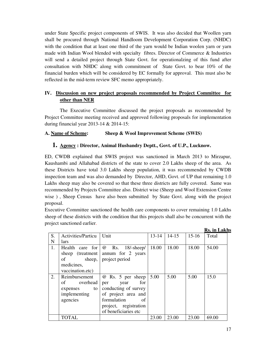under State Specific project components of SWIS. It was also decided that Woollen yarn shall be procured through National Handloom Development Corporation Corp. (NHDC) with the condition that at least one third of the yarn would be Indian woolen yarn or yarn made with Indian Wool blended with specialty fibres. Director of Commerce  $\&$  Industries will send a detailed project through State Govt. for operationalzing of this fund after consultation with NHDC along with commitment of State Govt. to bear 10% of the financial burden which will be considered by EC formally for approval. This must also be reflected in the mid-term review SFC memo appropriately.

#### **IV. Discussion on new project proposals recommended by Project Committee for other than NER**

 The Executive Committee discussed the project proposals as recommended by Project Committee meeting received and approved following proposals for implementation during financial year 2013-14 & 2014-15:

#### **A. Name of Scheme: Sheep & Wool Improvement Scheme (SWIS)**

#### **1. Agency : Director, Animal Husbandry Deptt., Govt. of U.P., Lucknow.**

ED, CWDB explained that SWIS project was sanctioned in March 2013 to Mirzapur, Kaushambi and Allahabad districts of the state to cover 2.0 Lakhs sheep of the area. As these Districts have total 3.0 Lakhs sheep population, it was recommended by CWDB inspection team and was also demanded by Director, AHD, Govt. of UP that remaining 1.0 Lakhs sheep may also be covered so that these three districts are fully covered. Same was recommended by Projects Committee also. District wise (Sheep and Wool Extension Centre wise ) , Sheep Census have also been submitted by State Govt. along with the project proposal.

Executive Committee sanctioned the health care components to cover remaining 1.0 Lakhs sheep of these districts with the condition that this projects shall also be concurrent with the project sanctioned earlier.

|    |                           |                                            |           |           |         | IS. III LANIS |
|----|---------------------------|--------------------------------------------|-----------|-----------|---------|---------------|
| S. | <b>Activities/Particu</b> | Unit                                       | $13 - 14$ | $14 - 15$ | $15-16$ | Total         |
| N  | lars                      |                                            |           |           |         |               |
| 1. |                           | Health care for $\emptyset$ Rs. 18/-sheep/ | 18.00     | 18.00     | 18.00   | 54.00         |
|    |                           | sheep (treatment   annum for $2$ years     |           |           |         |               |
|    | of                        | sheep,   project period                    |           |           |         |               |
|    | medicines,                |                                            |           |           |         |               |
|    | vaccination.etc)          |                                            |           |           |         |               |
| 2. | Reimbursement             | @ Rs. 5 per sheep   5.00                   |           | 5.00      | 5.00    | 15.0          |
|    | overhead<br>of            | for<br>year<br>per                         |           |           |         |               |
|    | to<br>expenses            | conducting of survey                       |           |           |         |               |
|    | implementing              | of project area and                        |           |           |         |               |
|    | agencies                  | formulation<br>- of                        |           |           |         |               |
|    |                           | project, registration                      |           |           |         |               |
|    |                           | of beneficiaries etc                       |           |           |         |               |
|    | <b>TOTAL</b>              |                                            | 23.00     | 23.00     | 23.00   | 69.00         |

**Rs. in Lakhs**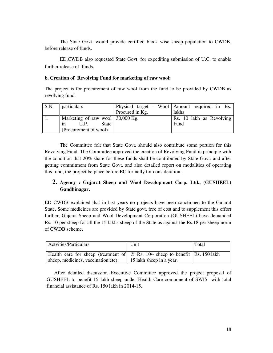The State Govt. would provide certified block wise sheep population to CWDB, before release of funds.

ED,CWDB also requested State Govt. for expediting submission of U.C. to enable further release of funds.

#### **b. Creation of Revolving Fund for marketing of raw wool:**

The project is for procurement of raw wool from the fund to be provided by CWDB as revolving fund.

| S.N. | <i>particulars</i>               |                 | Physical target - Wool   Amount required in Rs. |
|------|----------------------------------|-----------------|-------------------------------------------------|
|      |                                  | Procured in Kg. | <b>lakhs</b>                                    |
|      | Marketing of raw wool 30,000 Kg. |                 | Rs. 10 lakh as Revolving                        |
|      | State<br>U.P.<br>1n              |                 | Fund                                            |
|      | (Procurement of wool)            |                 |                                                 |

 The Committee felt that State Govt. should also contribute some portion for this Revolving Fund. The Committee approved the creation of Revolving Fund in principle with the condition that 20% share for these funds shall be contributed by State Govt. and after getting commitment from State Govt. and also detailed report on modalities of operating this fund, the project be place before EC formally for consideration.

#### **2. Agency : Gujarat Sheep and Wool Development Corp. Ltd., (GUSHEEL) Gandhinagar.**

ED CWDB explained that in last years no projects have been sanctioned to the Gujarat State. Some medicines are provided by State govt. free of cost and to supplement this effort further, Gujarat Sheep and Wool Development Corporation (GUSHEEL) have demanded Rs. 10 per sheep for all the 15 lakhs sheep of the State as against the Rs.18 per sheep norm of CWDB scheme**.** 

| Actvities/Particulars                                                                                                   | Unit                     | Total |
|-------------------------------------------------------------------------------------------------------------------------|--------------------------|-------|
| Health care for sheep (treatment of $\phi$ Rs. 10/- sheep to benefit Rs. 150 lakh<br>sheep, medicines, vaccination.etc) | 15 lakh sheep in a year. |       |

After detailed discussion Executive Committee approved the project proposal of GUSHEEL to benefit 15 lakh sheep under Health Care component of SWIS with total financial assistance of Rs. 150 lakh in 2014-15.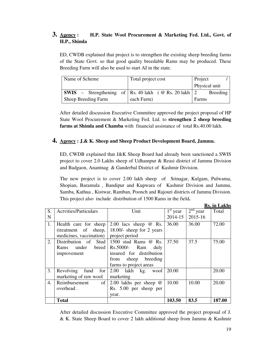### **3. Agency : H.P. State Wool Procurement & Marketing Fed. Ltd., Govt. of H.P., Shimla**

ED, CWDB explained that project is to strengthen the existing sheep breeding farms of the State Govt. so that good quality breedable Rams may be produced. These Breeding Farm will also be used to start AI in the state.

| Name of Scheme                                                     | Total project cost | Project       |
|--------------------------------------------------------------------|--------------------|---------------|
|                                                                    |                    | Physical unit |
| <b>SWIS</b> – Strengthening of   Rs. 40 lakh ( $@$ Rs. 20 lakh   2 |                    | Breeding      |
| Sheep Breeding Farm                                                | each Farm)         | Farms         |

After detailed discussion Executive Committee approved the project proposal of HP State Wool Procurement & Marketing Fed. Ltd. to **strengthen 2 sheep breeding farms at Shimla and Chamba** with financial assistance of total Rs.40.00 lakh.

#### **4. Agency : J.& K. Sheep and Sheep Product Development Board, Jammu.**

ED, CWDB explained that J&K Sheep Board had already been sanctioned a SWIS project to cover 2.0 Lakhs sheep of Udhampur & Reasi district of Jammu Division and Badgaon, Anantnag & Ganderbal District of Kashmir Division.

The new project is to cover 2.00 lakh sheep of Srinagar, Kulgam, Pulwama, Shopian, Baramula , Bandipur and Kupwara of Kashmir Division and Jammu, Samba, Kathua , Kistwar, Ramban, Poonch and Rajouri districts of Jammu Division. This project also include distribution of 1500 Rams in the field**.** 

|    |                              |                              |                                 |            | то, ні гліпіз |
|----|------------------------------|------------------------------|---------------------------------|------------|---------------|
| S. | <b>Actvities/Particulars</b> | Unit                         | $\overline{1}^{\text{st}}$ year | $2nd$ year | Total         |
| N  |                              |                              | 2014-15                         | 2015-16    |               |
| 1. | Health care for sheep        | 2.00 lacs sheep $\omega$ Rs. | 36.00                           | 36.00      | 72.00         |
|    | (treatment of sheep,         | 18.00/- sheep for 2 years    |                                 |            |               |
|    | medicines, vaccination)      | project period               |                                 |            |               |
| 2. | Distribution of Stud         | 1500 stud Rams @ Rs.         | 37.50                           | 37.5       | 75.00         |
|    | under<br>breed<br>Rams       | Rs.5000/-<br>Ram<br>duly     |                                 |            |               |
|    | improvement                  | insured for distribution     |                                 |            |               |
|    |                              | from sheep breeding          |                                 |            |               |
|    |                              | farms to project areas       |                                 |            |               |
| 3. | Revolving<br>fund<br>for     | $2.00$ lakh<br>kg.<br>wool   | 20.00                           |            | 20.00         |
|    | marketing of raw wool        | marketing                    |                                 |            |               |
| 4. | Reimbursement<br>of          | 2.00 lakhs per sheep @       | 10.00                           | 10.00      | 20.00         |
|    | overhead.                    | Rs. 5.00 per sheep per       |                                 |            |               |
|    |                              | year.                        |                                 |            |               |
|    | <b>Total</b>                 |                              | 103.50                          | 83.5       | 187.00        |

After detailed discussion Executive Committee approved the project proposal of J. & K. State Sheep Board to cover 2 lakh additional sheep from Jammu & Kashmir

**Rs. in Lakhs**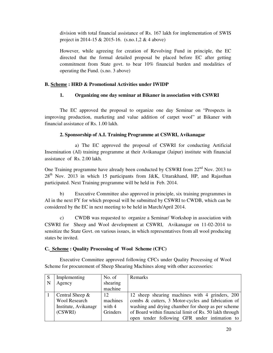division with total financial assistance of Rs. 167 lakh for implementation of SWIS project in 2014-15 & 2015-16. (s.no.1,2 & 4 above)

However, while agreeing for creation of Revolving Fund in principle, the EC directed that the formal detailed proposal be placed before EC after getting commitment from State govt. to bear 10% financial burden and modalities of operating the Fund. (s.no. 3 above)

#### **B. Scheme : HRD & Promotional Activities under IWIDP**

#### **1. Organizing one day seminar at Bikaner in association with CSWRI**

 The EC approved the proposal to organize one day Seminar on "Prospects in improving production, marketing and value addition of carpet wool" at Bikaner with financial assistance of Rs. 1.00 lakh.

#### **2. Sponsorship of A.I. Training Programme at CSWRI, Avikanagar**

 a) The EC approved the proposal of CSWRI for conducting Artificial Insemination (AI) training programme at their Avikanagar (Jaipur) institute with financial assistance of Rs. 2.00 lakh.

One Training programme have already been conducted by CSWRI from  $22<sup>nd</sup>$  Nov. 2013 to  $28<sup>th</sup>$  Nov. 2013 in which 15 participants from J&K, Uttarakhand, HP, and Rajasthan participated. Next Training programme will be held in Feb. 2014.

 b) Executive Committee also approved in principle, six training programmes in AI in the next FY for which proposal will be submitted by CSWRI to CWDB, which can be considered by the EC in next meeting to be held in March/April 2014.

 c) CWDB was requested to organize a Seminar/ Workshop in association with CSWRI for Sheep and Wool development at CSWRI, Avikanagar on 11-02-2014 to sensitize the State Govt. on various issues, in which representatives from all wool producing states be invited.

#### **C. Scheme : Quality Processing of Wool Scheme (CFC)**

 Executive Committee approved following CFCs under Quality Processing of Wool Scheme for procurement of Sheep Shearing Machines along with other accessories:

| S | Implementing         | No. of   | Remarks                                                |
|---|----------------------|----------|--------------------------------------------------------|
| N | Agency               | shearing |                                                        |
|   |                      | machine  |                                                        |
|   | Central Sheep $\&$   | 12       | 12 sheep shearing machines with 4 grinders, 200        |
|   | <b>Wool Research</b> | machines | combs & cutters, 3 Motor-cycles and fabrication of     |
|   | Institute, Avikanagr | with $4$ | washing and drying chamber for sheep as per scheme     |
|   | (CSWRI)              | Grinders | of Board within financial limit of Rs. 50 lakh through |
|   |                      |          | open tender following GFR under intimation to          |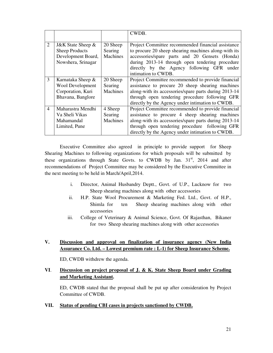|                |                         |          | CWDB.                                                 |
|----------------|-------------------------|----------|-------------------------------------------------------|
|                |                         |          |                                                       |
| 2              | J&K State Sheep $\&$    | 20 Sheep | Project Committee recommended financial assistance    |
|                | <b>Sheep Products</b>   | Searing  | to procure 20 sheep shearing machines along-with its  |
|                | Development Board,      | Machines | accessories/spare parts and 20 Gensets (Honda)        |
|                | Nowshera, Srinagar      |          | during 2013-14 through open tendering procedure       |
|                |                         |          | directly by the Agency following GFR under            |
|                |                         |          | intimation to CWDB.                                   |
| 3              | Karnataka Sheep &       | 20 Sheep | Project Committee recommended to provide financial    |
|                | <b>Wool Development</b> | Searing  | assistance to procure 20 sheep shearing machines      |
|                | Corporation, Kuri       | Machines | along-with its accessories/spare parts during 2013-14 |
|                | Bhavana, Banglore       |          | through open tendering procedure following GFR        |
|                |                         |          | directly by the Agency under intimation to CWDB.      |
| $\overline{4}$ | Maharastra Mendhi       | 4 Sheep  | Project Committee recommended to provide financial    |
|                | Va Sheli Vikas          | Searing  | assistance to procure 4 sheep shearing machines       |
|                | Mahamandal              | Machines | along-with its accessories/spare parts during 2013-14 |
|                | Limited, Pune           |          | through open tendering procedure following GFR        |
|                |                         |          | directly by the Agency under intimation to CWDB.      |

Executive Committee also agreed in principle to provide support for Sheep Shearing Machines to following organizations for which proposals will be submitted by these organizations through State Govts. to CWDB by Jan.  $31<sup>st</sup>$ , 2014 and after recommendations of Project Committee may be considered by the Executive Committee in the next meeting to be held in March/April,2014.

- i. Director, Animal Husbandry Deptt., Govt. of U.P., Lucknow for two Sheep shearing machines along with other accessories
- ii. H.P. State Wool Procurement & Marketing Fed. Ltd., Govt. of H.P., Shimla for ten Sheep shearing machines along with other accessories
- iii. College of Veterinary & Animal Science, Govt. Of Rajasthan, Bikaner for two Sheep shearing machines along with other accessories

#### **V. Discussion and approval on finalization of insurance agency (New India Assurance Co. Ltd. – Lowest premium rate : L-1) for Sheep Insurance Scheme.**

ED, CWDB withdrew the agenda.

#### **VI**. **Discussion on project proposal of J. & K. State Sheep Board under Grading and Marketing Assistant.**

ED, CWDB stated that the proposal shall be put up after consideration by Project Committee of CWDB.

#### **VII. Status of pending CBI cases in projects sanctioned by CWDB.**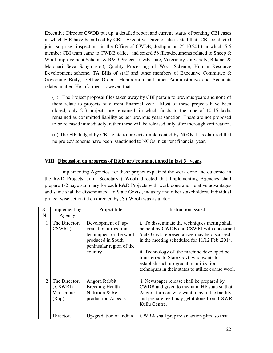Executive Director CWDB put up a detailed report and current status of pending CBI cases in which FIR have been filed by CBI . Executive Director also stated that CBI conducted joint surprise inspection in the Office of CWDB, Jodhpur on 25.10.2013 in which 5-6 member CBI team came to CWDB office and seized 56 files/documents related to Sheep & Wool Improvement Scheme & R&D Projects (J&K state, Veterinary University, Bikaner & Maldhari Seva Sangh etc.), Quality Processing of Wool Scheme, Human Resource Development scheme, TA Bills of staff and other members of Executive Committee & Governing Body, Office Orders, Honorarium and other Administrative and Accounts related matter. He informed, however that

( i) The Project proposal files taken away by CBI pertain to previous years and none of them relate to projects of current financial year. Most of these projects have been closed, only 2-3 projects are remained, in which funds to the tune of 10-15 lakhs remained as committed liability as per previous years sanction. These are not proposed to be released immediately, rather these will be released only after thorough verification.

(ii) The FIR lodged by CBI relate to projects implemented by NGOs. It is clarified that no project/ scheme have been sanctioned to NGOs in current financial year.

#### **VIII**. **Discussion on progress of R&D projects sanctioned in last 3 years.**

 Implementing Agencies for these project explained the work done and outcome in the R&D Projects. Joint Secretary ( Wool) directed that Implementing Agencies shall prepare 1-2 page summary for each R&D Projects with work done and relative advantages and same shall be disseminated to State Govts., industry and other stakeholders. Individual project wise action taken directed by JS ( Wool) was as under:

| S.<br>N                     | Implementing<br>Agency                                     | Project title                                                                                                                      | Instruction issued                                                                                                                                                                                                                                                                                                                                                                    |
|-----------------------------|------------------------------------------------------------|------------------------------------------------------------------------------------------------------------------------------------|---------------------------------------------------------------------------------------------------------------------------------------------------------------------------------------------------------------------------------------------------------------------------------------------------------------------------------------------------------------------------------------|
| $\mathbf{1}$                | The Director,<br>CSWRI.)                                   | Development of up-<br>gradation utilization<br>techniques for the wool<br>produced in South<br>peninsular region of the<br>country | i. To disseminate the techniques meting shall<br>be held by CWDB and CSWRI with concerned<br>State Govt. representatives may be discussed<br>in the meeting scheduled for 11/12 Feb., 2014.<br>ii. Technology of the machine developed be<br>transferred to State Govt. who wants to<br>establish such up-gradation utilization<br>techniques in their states to utilize coarse wool. |
| $\mathcal{D}_{\mathcal{L}}$ | The Director,<br>$\,$ . CSWRI $)$<br>Via- Jaipur<br>(Raj.) | Angora Rabbit<br><b>Breeding Health</b><br>Nutrition & Re-<br>production Aspects                                                   | i. Newspaper release shall be prepared by<br>CWDB and given to media in HP state so that<br>Angora farmers who want to avail the facility<br>and prepare feed may get it done from CSWRI<br>Kullu Centre.                                                                                                                                                                             |
|                             | Director,                                                  | Up-gradation of Indian                                                                                                             | i. WRA shall prepare an action plan so that                                                                                                                                                                                                                                                                                                                                           |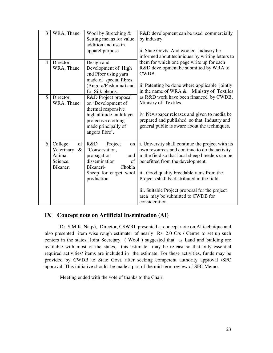| 3              | WRA, Thane                                                            | Wool by Stretching $&$<br>Setting means for value<br>addition and use in<br>apparel purpose                                                                  | R&D development can be used commercially<br>by industry.<br>ii. State Govts. And woolen Industry be                                                                                                                                                                                                                                                                                            |
|----------------|-----------------------------------------------------------------------|--------------------------------------------------------------------------------------------------------------------------------------------------------------|------------------------------------------------------------------------------------------------------------------------------------------------------------------------------------------------------------------------------------------------------------------------------------------------------------------------------------------------------------------------------------------------|
|                |                                                                       |                                                                                                                                                              | informed about techniques by writing letters to                                                                                                                                                                                                                                                                                                                                                |
| $\overline{4}$ | Director,<br>WRA, Thane                                               | Design and<br>Development of High<br>end Fiber using yarn<br>made of special fibres                                                                          | them for which one page write up for each<br>R&D development be submitted by WRA to<br>CWDB.                                                                                                                                                                                                                                                                                                   |
|                |                                                                       | (Angora/Pashmina) and<br>Eri Silk blends.                                                                                                                    | iii Patenting be done where applicable jointly<br>Ministry of Textiles<br>in the name of WRA &                                                                                                                                                                                                                                                                                                 |
| 5              | Director,<br>WRA, Thane                                               | R&D Project proposal<br>on 'Development of<br>thermal responsive<br>high altitude multilayer<br>protective clothing<br>made principally of<br>angora fibre'. | as R&D work have been financed by CWDB,<br>Ministry of Textiles.<br>iv. Newspaper releases and given to media be<br>prepared and published so that Industry and<br>general public is aware about the techniques.                                                                                                                                                                               |
| 6              | College<br>of<br>Veterinary<br>$\&$<br>Animal<br>Science,<br>Bikaner. | R&D<br>Project<br>on<br>"Conservation,<br>propagation<br>and<br>dissemination<br>of<br>Chokla<br>Bikaneri-<br>Sheep for carpet wool<br>production            | i. University shall continue the project with its<br>own resources and continue to do the activity<br>in the field so that local sheep breeders can be<br>benefitted from the development.<br>ii. Good quality breedable rams from the<br>Projects shall be distributed in the field.<br>iii. Suitable Project proposal for the project<br>area may be submitted to CWDB for<br>consideration. |

#### **IX Concept note on Artificial Insemination (AI)**

 Dr. S.M.K. Naqvi, Director, CSWRI presented a concept note on AI technique and also presented item wise rough estimate of nearly Rs. 2.0 Crs / Centre to set up such centers in the states. Joint Secretary ( Wool ) suggested that as Land and building are available with most of the states, this estimate may be re-cast so that only essential required activities/ items are included in the estimate. For these activities, funds may be provided by CWDB to State Govt. after seeking competent authority approval /SFC approval. This initiative should be made a part of the mid-term review of SFC Memo.

Meeting ended with the vote of thanks to the Chair.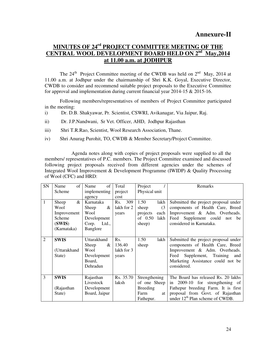### **MINUTES OF 24rd PROJECT COMMITTEE MEETING OF THE CENTRAL WOOL DEVELOPMENT BOARD HELD ON 2nd May,2014 at 11.00 a.m. at JODHPUR**

The  $24<sup>th</sup>$  Project Committee meeting of the CWDB was held on  $2<sup>nd</sup>$  May, 2014 at 11.00 a.m. at Jodhpur under the chairmanship of Shri K.K. Goyal, Executive Director, CWDB to consider and recommend suitable project proposals to the Executive Committee for approval and implementation during current financial year 2014-15 & 2015-16.

Following members/representatives of members of Project Committee participated in the meeting:

- i) Dr. D.B. Shakyawar, Pr. Scientist, CSWRI, Avikanagar, Via Jaipur, Raj.
- ii) Dr. J.P.Nandwani, Sr Vet. Officer, AHD, Jodhpur Rajasthan
- iii) Shri T.R.Rao, Scientist, Wool Research Association, Thane.
- iv) Shri Anurag Purohit, TO, CWDB & Member Secretary/Project Committee.

 Agenda notes along with copies of project proposals were supplied to all the members/ representatives of P.C. members. The Project Committee examined and discussed following project proposals received from different agencies under the schemes of Integrated Wool Improvement & Development Programme (IWIDP) & Quality Processing of Wool (CFC) and HRD:

| SN             | of<br>Name    | Name<br>of      | Total        | Project           | Remarks                                     |
|----------------|---------------|-----------------|--------------|-------------------|---------------------------------------------|
|                | Scheme        | implementing    | project      | Physical unit     |                                             |
|                |               | agency          | cost         |                   |                                             |
| 1              | $\&$<br>Sheep | Karnataka       | 309<br>Rs.   | 1.50<br>lakh      | Submitted the project proposal under        |
|                | Wool          | &<br>Sheep      | lakh for 2   | (3)<br>sheep      | components of Health Care, Breed            |
|                | Improvement   | Wool            | years        | projects<br>each  | Improvement & Adm. Overheads.               |
|                | Scheme        | Development     |              | of $0.50$<br>lakh | Feed Supplement could<br>not be             |
|                | (SWIS)        | Corp. Ltd.,     |              | sheep)            | considered in Karnataka.                    |
|                | (Karnataka)   | <b>Banglore</b> |              |                   |                                             |
|                |               |                 |              |                   |                                             |
| $\overline{2}$ | <b>SWIS</b>   | Uttarakhand     | Rs.          | 1.50<br>lakh      | Submitted the project proposal under        |
|                |               | Sheep<br>&      | 136.40       | sheep             | components of Health Care, Breed            |
|                | (Uttarakhand  | Wool            | lakh for $3$ |                   | Improvement & Adm. Overheads.               |
|                | State)        | Development     | years        |                   | Supplement, Training<br>Feed<br>and         |
|                |               | Board,          |              |                   | Marketing Assistance could not be           |
|                |               | Dehradun        |              |                   | considered.                                 |
|                |               |                 |              |                   |                                             |
| 3              | <b>SWIS</b>   | Rajasthan       | Rs. 35.70    | Strengthening     | The Board has released Rs. 20 lakhs         |
|                |               | Livestock       | laksh        | of one Sheep      | in 2009-10 for strengthening of             |
|                | (Rajasthan    | Development     |              | <b>Breeding</b>   | Fathepur breeding Farm. It is first         |
|                | State)        | Board, Jaipur   |              | Farm<br>at        | proposal from Govt. of Rajasthan            |
|                |               |                 |              | Fathepur.         | under 12 <sup>th</sup> Plan scheme of CWDB. |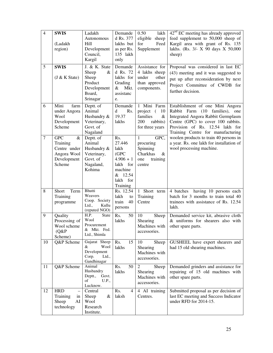| $\overline{4}$ | <b>SWIS</b><br>(Ladakh<br>region)                                                      | Ladakh<br>Autonomous<br>Hill<br>Development<br>Council,<br>Kargil                    | Demande<br>d Rs. 377<br>lakhs but<br>as per Rs.<br>135 lakh<br>only                                     | 0.50<br>lakh<br>eligible<br>sheep<br>for<br>Feed<br>Supplement                                     | $42nd$ EC meeting has already approved<br>feed supplement to 50,000 sheep of<br>Kargil area with grant of Rs. 135<br>lakhs. (Rs. 3/- X 90 days X 50,000<br>sheep)                                                                |
|----------------|----------------------------------------------------------------------------------------|--------------------------------------------------------------------------------------|---------------------------------------------------------------------------------------------------------|----------------------------------------------------------------------------------------------------|----------------------------------------------------------------------------------------------------------------------------------------------------------------------------------------------------------------------------------|
| $\overline{5}$ | <b>SWIS</b><br>$(J & K$ State)                                                         | J. & K. State<br>Sheep<br>&<br>Sheep<br>Product<br>Development<br>Board,<br>Srinagar | Demande<br>d Rs. 72<br>lakhs for<br>Grading<br>$\&$<br>Mkt.<br>assistanc<br>e.                          | Assistance for<br>4 lakhs sheep<br>under<br>other<br>than approved<br>components.                  | Proposal was considered in last EC<br>(43) meeting and it was suggested to<br>put up after reconsideration by next<br>Project Committee of CWDB for<br>further decision.                                                         |
| 6              | Mini<br>$\ensuremath{\mathit{farm}}$<br>under Angora<br>Wool<br>Development<br>Scheme  | Deptt. of<br>Animal<br>Husbandry &<br>Veterinary,<br>Govt. of<br>Nagaland            | Demande<br>d<br>Rs.<br>19.37<br>lakhs                                                                   | 1 Mini Farm<br>project<br>$\left($<br>10<br>families<br>$\&$<br>200<br>rabbits)<br>for three years | Establishment of one Mini Angora<br>Rabbit Farm<br>(10)<br>families),<br>one<br>Integrated Angora Rabbit Germplasm<br>Centre (GPC) to cover 100 rabbits.<br>Provision of Rs. 12.54 lakh for<br>Training Centre for manufacturing |
| $\overline{7}$ | <b>GPC</b><br>$\&$<br>Training<br>Centre under<br>Angora Wool<br>Development<br>Scheme | Deptt. of<br>Animal<br>Husbandry &<br>Veterinary,<br>Govt. of<br>Nagaland,<br>Kohima | Rs.<br>27.446<br>lakh<br>(GPC)<br>$4.906 + 1$<br>lakh for<br>machine<br>& 12.54<br>lakh for<br>Training | GPC,<br>$\mathbf{1}$<br>procuring<br>Spinning<br>Charkhas<br>&<br>training<br>one<br>centre        | woolen products to train 40 persons in<br>a year. Rs. one lakh for installation of<br>wool processing machine.                                                                                                                   |
| 8              | Term<br>Short<br>Training<br>programme                                                 | <b>Bhutti</b><br>Weavers<br>Coop. Society<br>Ltd.,<br>Kullu<br>(reputed NGO)         | Rs. 12.54<br>lakh<br>to<br>40<br>train<br>persons                                                       | 1 Short term<br>Training<br>Centre                                                                 | 4 batches having 10 persons each<br>batch for 3 months to train total 40<br>trainees with assistance of Rs. 12.54<br>lakh.                                                                                                       |
| 9              | Quality<br>Processing of<br>Wool scheme<br>(Q&P)<br>Scheme)                            | H.P.<br>State<br>Wool<br>Procurement<br>& Mkt. Fed.<br>Ltd., Shimla                  | 50<br>Rs.<br>lakhs                                                                                      | 10<br>Sheep<br>Shearing<br>Machines with<br>accessories.                                           | Demanded service kit, abrasive cloth<br>& uniforms for shearers also with<br>other spare parts.                                                                                                                                  |
| 10             | Q&P Scheme                                                                             | Gujarat Sheep<br>&<br>Wool<br>Development<br>Ltd.,<br>Corp.<br>Gandhinagar           | 15<br>Rs.<br>lakhs                                                                                      | 10<br>Sheep<br>Shearing<br>Machines with<br>accessories.                                           | GUSHEEL have expert shearers and<br>had 15 old shearing machines.                                                                                                                                                                |
| 11             | Q&P Scheme                                                                             | Animal<br>Husbandry<br>Deptt.,<br>Govt.<br>of<br>U.P.,<br>Lucknow.                   | 50<br>Rs.<br>lakhs                                                                                      | $\overline{2}$<br>Sheep<br>Shearing<br>Machines with<br>accessories.                               | Demanded grinders and assistance for<br>repairing of 15 old machines with<br>other spare parts.                                                                                                                                  |
| 12             | <b>HRD</b><br>Training<br>in<br>Sheep<br>AI<br>technology                              | Central<br>Sheep<br>&<br>Wool<br>Research<br>Institute.                              | Rs.<br>$\overline{4}$<br>laksh                                                                          | 4 AI training<br>Centres.                                                                          | Submitted proposal as per decision of<br>last EC meeting and Success Indicator<br>under RFD for 2014-15.                                                                                                                         |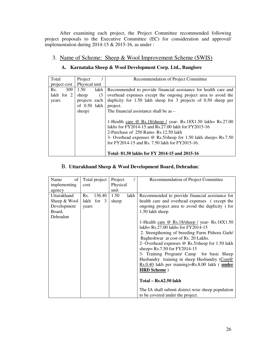After examining each project, the Project Committee recommended following project proposals to the Executive Committee (EC) for consideration and approval/ implementation during 2014-15  $& 2015$ -16, as under :

#### 3. Name of Scheme: Sheep & Wool Improvement Scheme (SWIS)

| Total        | Project       |      | Recommendation of Project Committee                                |
|--------------|---------------|------|--------------------------------------------------------------------|
| project cost | Physical unit |      |                                                                    |
| 309<br>Rs.   | 1.50          | lakh | Recommended to provide financial assistance for health care and    |
| lakh for 2   | sheep         | (3)  | overhead expenses except the ongoing project area to avoid the     |
| years        | projects each |      | duplicity for $1.50$ lakh sheep for 3 projects of $0.50$ sheep per |
|              | of 0.50 lakh  |      | project.                                                           |
|              | sheep)        |      | The financial assistance shall be as –                             |
|              |               |      |                                                                    |
|              |               |      | 1-Health care @ Rs.18/sheep / year- Rs.18X1.50 lakh= Rs.27.00      |
|              |               |      | lakhs for FY2014-15 and Rs.27.00 lakh for FY2015-16                |
|              |               |      | 2-Purchase of 250 Rams-Rs.12.50 lakh                               |
|              |               |      | 3- Overhead expenses @ Rs.5/sheep for 1.50 lakh sheep= Rs.7.50     |
|              |               |      | for FY2014-15 and Rs. 7.50 lakh for FY2015-16.                     |
|              |               |      |                                                                    |
|              |               |      | Total-81.50 lakhs for FY 2014-15 and 2015-16                       |

#### **A. Karnataka Sheep & Wool Development Corp. Ltd., Banglore**

#### B. **Uttarakhand Sheep & Wool Development Board, Dehradun**:

| of<br>Name   | Total project   | Project      | Recommendation of Project Committee                 |
|--------------|-----------------|--------------|-----------------------------------------------------|
| implementing | cost            | Physical     |                                                     |
| agency       |                 | unit         |                                                     |
| Uttarakhand  | Rs.<br>136.40   | 1.50<br>lakh | Recommended to provide financial assistance for     |
| Sheep & Wool | for $3$<br>lakh | sheep        | health care and overhead expenses (except the       |
| Development  | years           |              | ongoing project area to avoid the duplicity) for    |
| Board,       |                 |              | 1.50 lakh sheep                                     |
| Dehradun     |                 |              |                                                     |
|              |                 |              | 1-Health care @ Rs.18/sheep / year- Rs.18X1.50      |
|              |                 |              | lakh = $Rs.27.00$ lakhs for $FY2014-15$             |
|              |                 |              | 2. Strengthening of breeding Farm Pithora Garh/     |
|              |                 |              | Bagheshwar at cost of Rs. 20 Lakhs.                 |
|              |                 |              | 2- Overhead expenses @ Rs.5/sheep for 1.50 lakh     |
|              |                 |              |                                                     |
|              |                 |              | sheep= $Rs.7.50$ for $FY2014-15$                    |
|              |                 |              | 3- Training Program/ Camp for basic Sheep           |
|              |                 |              | Husbandry training in sheep Husbandry (Cost@        |
|              |                 |              | $Rs.0.40$ lakh per training)= $Rs.8.00$ lakh (under |
|              |                 |              | <b>HRD</b> Scheme)                                  |
|              |                 |              |                                                     |
|              |                 |              | Total – Rs.62.50 lakh                               |
|              |                 |              | The IA shall submit district wise sheep population  |
|              |                 |              | to be covered under the project.                    |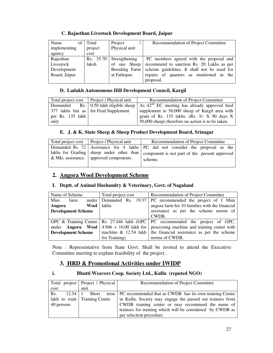#### **C. Rajasthan Livestock Development Board, Jaipur**

| Name<br>ot    | Total     | Project       | Recommendation of Project Committee         |
|---------------|-----------|---------------|---------------------------------------------|
| implementing  | project   | Physical unit |                                             |
| agency        | cost      |               |                                             |
| Rajasthan     | Rs. 35.70 | Strengthening | PC members agreed with the proposal and     |
| Livestock     | laksh     | of one Sheep  | recommend to sanction Rs. 20 Lakhs as per   |
| Development   |           | Breeding Farm | scheme guidelines. It shall not be used for |
| Board, Jaipur |           | at Fathepur.  | repairs of quarters as mentioned in the     |
|               |           |               | proposal.                                   |

#### **D. Ladakh Autonomous Hill Development Council, Kargil**

|                    | Total project cost   Project / Physical unit | Recommendation of Project Committee                                                                    |  |  |
|--------------------|----------------------------------------------|--------------------------------------------------------------------------------------------------------|--|--|
|                    |                                              | Demanded Rs. 0.50 lakh eligible sheep $\vert$ As 42 <sup>nd</sup> EC meeting has already approved feed |  |  |
|                    | 377 lakhs but as for Feed Supplement         | supplement to 50,000 sheep of Kargil area with                                                         |  |  |
| per Rs. $135$ lakh |                                              | grant of Rs. 135 lakhs. (Rs. $3/- X$ 90 days X                                                         |  |  |
| only               |                                              | 50,000 sheep) therefore no action is to be taken.                                                      |  |  |

#### **E. J. & K. State Sheep & Sheep Product Development Board, Srinagar**

| Total project cost   Project / Physical unit | Recommendation of Project Committee                                                                                                                                          |  |  |  |  |  |
|----------------------------------------------|------------------------------------------------------------------------------------------------------------------------------------------------------------------------------|--|--|--|--|--|
| & Mkt. assistance.   approved components.    | Demanded Rs. 72 Assistance for 4 lakhs PC did not consider the proposal as the<br>lakhs for Grading   sheep under other than   component is not part of the present approved |  |  |  |  |  |
|                                              | scheme.                                                                                                                                                                      |  |  |  |  |  |

### **2. Angora Wool Development Scheme**

#### **I. Deptt. of Animal Husbandry & Veterinary, Govt. of Nagaland**

| Name of Scheme                                                  |      |      | Total project cost                          | Recommendation of Project Committee            |  |  |
|-----------------------------------------------------------------|------|------|---------------------------------------------|------------------------------------------------|--|--|
| Mini                                                            | farm |      | under Demanded Rs. 19.37                    | PC recommended the project of 1 Mini           |  |  |
| Angora                                                          |      | Wool | <b>lakhs</b>                                | angora farm for 10 families with the financial |  |  |
| <b>Development Scheme</b>                                       |      |      |                                             | assistance as per the scheme norms of          |  |  |
|                                                                 |      |      |                                             | CWDB.                                          |  |  |
| GPC & Training Centre   Rs. 27.446 lakh (GPC                    |      |      |                                             | PC recommended the project of GPC,             |  |  |
| under <b>Angora</b> Wool $\vert 4.906 + 10.00 \text{ lakh}$ for |      |      | processing machine and training center with |                                                |  |  |
| <b>Development Scheme</b>                                       |      |      | machine $\&$ 12.54 lakh                     | the financial assistance as per the scheme     |  |  |
|                                                                 |      |      | for Training)                               | norms of CWDB.                                 |  |  |

Note : Representative from State Govt. Shall be invited to attend the Executive Committee meeting to explain feasibility of the project.

#### **3. HRD & Promotional Activities under IWIDP**

#### **i. Bhutti Weavers Coop. Society Ltd., Kullu (reputed NGO)**

|            | Total project   Project / Physical | Recommendation of Project Committee                                          |
|------------|------------------------------------|------------------------------------------------------------------------------|
| cost       | unit                               |                                                                              |
| Rs.        |                                    | 12.54 1 Short term   PC recommended that as CWDB has its own training Centre |
|            | lakh to train Training Centre      | in Kullu, Society may engage the passed out trainees from                    |
| 40 persons |                                    | CWDB training center or may recommend the name of                            |
|            |                                    | trainees for training which will be considered by CWDB as                    |
|            |                                    | per selection procedure.                                                     |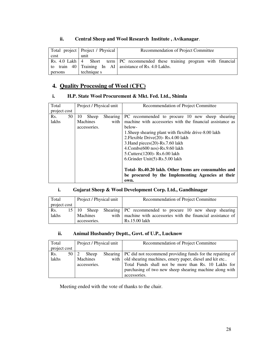|         | Total project   Project / Physical | Recommendation of Project Committee                                                |
|---------|------------------------------------|------------------------------------------------------------------------------------|
| cost    | unit                               |                                                                                    |
|         |                                    | Rs. 4.0 Lakh   4 Short term   PC recommended these training program with financial |
|         |                                    | to train $40$   Training In AI   assistance of Rs. 4.0 Lakhs.                      |
| persons | technique s                        |                                                                                    |

#### **ii. Central Sheep and Wool Research Institute , Avikanagar**.

### **4. Quality Processing of Wool (CFC)**

#### **i. H.P. State Wool Procurement & Mkt. Fed. Ltd., Shimla**

| Total        | Project / Physical unit |    |                 | Recommendation of Project Committee |                                                           |
|--------------|-------------------------|----|-----------------|-------------------------------------|-----------------------------------------------------------|
| project cost |                         |    |                 |                                     |                                                           |
| Rs.          | 50                      | 10 | Sheep           | Shearing                            | PC recommended to procure 10 new sheep shearing           |
| lakhs        |                         |    | <b>Machines</b> | with                                | machine with accessories with the financial assistance as |
|              |                         |    | accessories.    |                                     | below-                                                    |
|              |                         |    |                 |                                     | 1. Sheep shearing plant with flexible drive-8.00 lakh     |
|              |                         |    |                 |                                     | 2. Flexible Drive(20)-Rs. 4.00 lakh                       |
|              |                         |    |                 |                                     | 3. Hand pieces (20)-Rs. 7.60 lakh                         |
|              |                         |    |                 |                                     | 4.Combs(600 nos)-Rs.9.60 lakh                             |
|              |                         |    |                 |                                     | 5. Cutters (1200) - Rs. 6.00 lakh                         |
|              |                         |    |                 |                                     | 6. Grinder Unit(5)- $Rs.5.00$ lakh                        |
|              |                         |    |                 |                                     |                                                           |
|              |                         |    |                 |                                     | Total- Rs.40.20 lakh. Other Items are consumables and     |
|              |                         |    |                 |                                     | be procured by the Implementing Agencies at their         |
|              |                         |    |                 |                                     | own.                                                      |

#### **i. Gujarat Sheep & Wool Development Corp. Ltd., Gandhinagar**

| Total        | Project / Physical unit |              | Recommendation of Project Committee |  |                                                                  |  |  |  |  |  |
|--------------|-------------------------|--------------|-------------------------------------|--|------------------------------------------------------------------|--|--|--|--|--|
| project cost |                         |              |                                     |  |                                                                  |  |  |  |  |  |
| Rs.          | $15 \pm 10$             | Sheep        |                                     |  | Shearing PC recommended to procure 10 new sheep shearing         |  |  |  |  |  |
| lakhs        | Machines                |              |                                     |  | with   machine with accessories with the financial assistance of |  |  |  |  |  |
|              |                         | accessories. |                                     |  | Rs.15.00 lakh                                                    |  |  |  |  |  |

#### **ii. Animal Husbandry Deptt., Govt. of U.P., Lucknow**

| Total        | Project / Physical unit |              |  | Recommendation of Project Committee                                  |
|--------------|-------------------------|--------------|--|----------------------------------------------------------------------|
| project cost |                         |              |  |                                                                      |
| Rs.          | 50                      | Sheep        |  | Shearing   PC did not recommend providing funds for the repairing of |
| lakhs        |                         | Machines     |  | with   old shearing machines, emery paper, diesel and kit etc        |
|              |                         | accessories. |  | Total Funds shall not be more than Rs. 10 Lakhs for                  |
|              |                         |              |  | purchasing of two new sheep shearing machine along with              |
|              |                         |              |  | accessories.                                                         |

Meeting ended with the vote of thanks to the chair.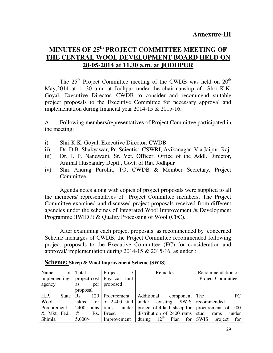## **MINUTES OF 25th PROJECT COMMITTEE MEETING OF THE CENTRAL WOOL DEVELOPMENT BOARD HELD ON 20-05-2014 at 11.30 a.m. at JODHPUR**

The 25<sup>th</sup> Project Committee meeting of the CWDB was held on 20<sup>th</sup> May,2014 at 11.30 a.m. at Jodhpur under the chairmanship of Shri K.K. Goyal, Executive Director, CWDB to consider and recommend suitable project proposals to the Executive Committee for necessary approval and implementation during financial year 2014-15 & 2015-16.

A. Following members/representatives of Project Committee participated in the meeting:

- i) Shri K.K. Goyal, Executive Director, CWDB
- ii) Dr. D.B. Shakyawar, Pr. Scientist, CSWRI, Avikanagar, Via Jaipur, Raj.
- iii) Dr. J. P. Nandwani, Sr. Vet. Officer, Office of the Addl. Director, Animal Husbandry Deptt., Govt. of Raj. Jodhpur
- iv) Shri Anurag Purohit, TO, CWDB & Member Secretary, Project Committee.

 Agenda notes along with copies of project proposals were supplied to all the members/ representatives of Project Committee members. The Project Committee examined and discussed project proposals received from different agencies under the schemes of Integrated Wool Improvement & Development Programme (IWIDP) & Quality Processing of Wool (CFC).

 After examining each project proposals as recommended by concerned Scheme incharges of CWDB, the Project Committee recommended following project proposals to the Executive Committee (EC) for consideration and approval/ implementation during 2014-15 & 2015-16, as under :

| of<br>Name    | Total            | Project                                     | Remarks                                                   | Recommendation of          |
|---------------|------------------|---------------------------------------------|-----------------------------------------------------------|----------------------------|
|               |                  | implementing   project cost   Physical unit |                                                           | Project Committee          |
| agency        | per<br>as        | proposed                                    |                                                           |                            |
|               | proposal         |                                             |                                                           |                            |
| H.P.<br>State | 120<br><b>Rs</b> | Procurement                                 | Additional<br>component The                               | PC.                        |
| Wool          | lakhs            |                                             | for $\vert$ of 2,400 stud under existing SWIS recommended |                            |
| Procurement   | 2400<br>rams     | rams                                        | under project of 4 lakh sheep for procurement of 500      |                            |
| & Mkt. Fed.,  | $\omega$<br>Rs.  | <b>Breed</b>                                | distribution of $2400$ rams                               | stud<br>under<br>rams      |
| Shimla        | $5,000/-$        | Improvement                                 | during $12^{\text{th}}$<br>Plan                           | for SWIS<br>for<br>project |

**Scheme: Sheep & Wool Improvement Scheme (SWIS)**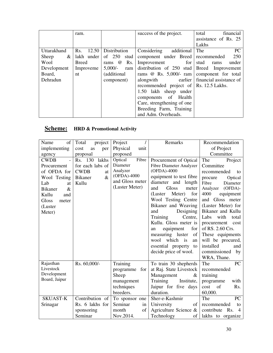|             | ram.                      |                  | success of the project.                | financial<br>total      |
|-------------|---------------------------|------------------|----------------------------------------|-------------------------|
|             |                           |                  |                                        | assistance of Rs. 25    |
|             |                           |                  |                                        | Lakhs                   |
| Uttarakhand | 12.50<br>R <sub>s</sub> . | Distribution     | Considering<br>additional              | <b>PC</b><br>The        |
| Sheep<br>&  | $lakh$ under              | of $250$<br>stud | component under Breed                  | 250<br>recommended      |
| Wool        | <b>Breed</b>              | Rs.<br>@<br>rams | Improvement<br>for                     | under<br>stud<br>rams   |
| Development | Improveme                 | $5,000/-$<br>ram | distribution of $250$ stud             | Breed Improvement       |
| Board,      | nt                        | (additional)     | rams @ Rs. $5,000/-$ ram               | component for total     |
| Dehradun    |                           | component)       | earlier<br>alongwith                   | financial assistance of |
|             |                           |                  | recommended project of Rs. 12.5 Lakhs. |                         |
|             |                           |                  | 1.50 lakh sheep under                  |                         |
|             |                           |                  | components of Health                   |                         |
|             |                           |                  | Care, strengthening of one             |                         |
|             |                           |                  | Breeding Farm, Training                |                         |
|             |                           |                  | and Adm. Overheads.                    |                         |

# **Scheme: HRD & Promotional Activity**

| of<br>Name             | project<br>Total       | Project          | Remarks                      | Recommendation                      |
|------------------------|------------------------|------------------|------------------------------|-------------------------------------|
| implementing           | cost<br>as<br>per      | Physical<br>unit |                              | of Project                          |
| agency                 | proposal               | proposed         |                              | Committee                           |
| <b>CWDB</b>            | lakhs<br>Rs. 130       | Fibre<br>Optical | Procurement of Optical       | The<br>Project                      |
| Procurement            | for each labs of       | Diameter         | Fibre Diameter Analyzer      | Committee                           |
| of OFDA for            | <b>CWDB</b><br>at      | Analyzer         | (OFDA)-4000                  | recommended<br>to                   |
| Wool Testing           | $\&$<br><b>Bikaner</b> | (OFDA)-4000      | equipment to test fibre      | procure<br>Optical                  |
| Lab<br>at              | Kullu                  | and Gloss meter  | diameter and<br>length       | Fibre<br>Diameter                   |
| <b>Bikaner</b><br>$\&$ |                        | (Luster Meter)   | <b>Gloss</b><br>and<br>meter | $(OFDA)$ -<br>Analyzer              |
| Kullu<br>and           |                        |                  | Meter)<br>for<br>(Luster)    | 4000<br>equipment                   |
| <b>Gloss</b><br>meter  |                        |                  | Wool Testing Centre          | Gloss meter<br>and                  |
| (Luster                |                        |                  | Bikaner and Weaving          | (Luster Meter) for                  |
| Meter)                 |                        |                  | Designing<br>and             | Bikaner and Kullu                   |
|                        |                        |                  | Training<br>Centre,          | Labs<br>with<br>total               |
|                        |                        |                  | Kullu. Gloss meter is        | procurement<br>cost                 |
|                        |                        |                  | for<br>equipment<br>an       | of RS. 2.60 Crs.                    |
|                        |                        |                  | measuring luster<br>of       | These equipments                    |
|                        |                        |                  | which is<br>wool<br>an       | will be procured,                   |
|                        |                        |                  | essential property to        | installed<br>and                    |
|                        |                        |                  | decide price of wool.        | commissioned<br>by                  |
|                        |                        |                  |                              | WRA, Thane.                         |
| Rajasthan              | Rs. 60,000/-           | Training         | To train 30 shepherds        | PC<br>The                           |
| Livestock              |                        | programme<br>for | at Raj. State Livestock      | recommended                         |
| Development            |                        | Sheep            | Management<br>&              | training                            |
| Board, Jaipur          |                        | management       | Training<br>Institute,       | programme<br>with                   |
|                        |                        | techniques       | Jaipur for five days         | Rs.<br>of<br>cost                   |
|                        |                        | breeders.        | duration.                    | 60,000.                             |
| <b>SKUAST-K</b>        | Contribution of        | To sponsor one   | Sher-e-Kashmir               | PC<br>The                           |
| Srinagar               | Rs. 6 lakhs for        | Seminar<br>in    | University<br>of             | recommended<br>to                   |
|                        | sponsoring             | of<br>month      | Agriculture Science &        | contribute<br>Rs.<br>$\overline{4}$ |
|                        | Seminar                | Nov.2014.        | Technology<br>οf             | lakhs to organize                   |